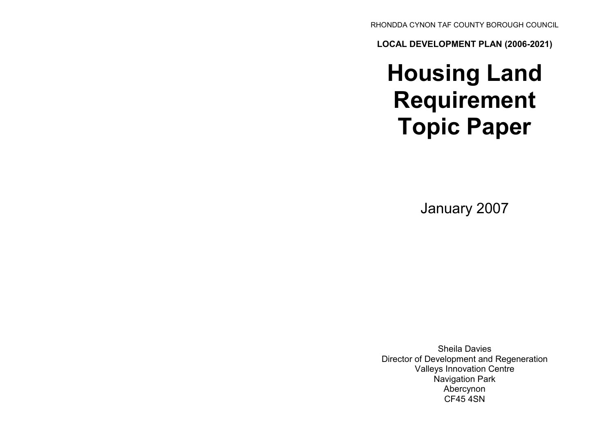RHONDDA CYNON TAF COUNTY BOROUGH COUNCIL

LOCAL DEVELOPMENT PLAN (2006-2021)

# Housing Land Requirement Topic Paper

January 2007

Sheila Davies Director of Development and Regeneration Valleys Innovation Centre Navigation Park Abercynon CF45 4SN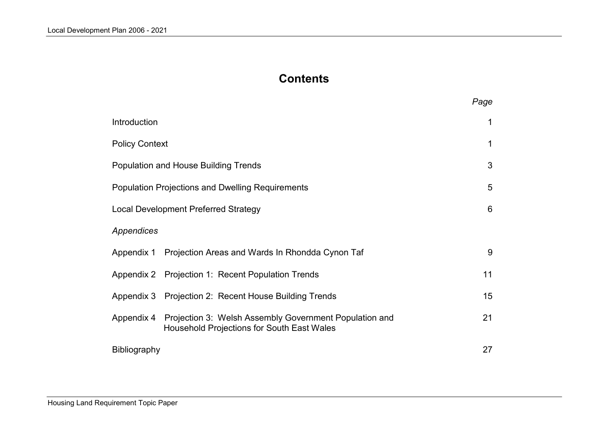# **Contents**

|                                                         |                                                                                                                        | Page |  |  |  |  |
|---------------------------------------------------------|------------------------------------------------------------------------------------------------------------------------|------|--|--|--|--|
| Introduction                                            |                                                                                                                        | 1    |  |  |  |  |
| <b>Policy Context</b>                                   |                                                                                                                        | 1    |  |  |  |  |
|                                                         | <b>Population and House Building Trends</b>                                                                            | 3    |  |  |  |  |
| <b>Population Projections and Dwelling Requirements</b> |                                                                                                                        |      |  |  |  |  |
| Local Development Preferred Strategy                    |                                                                                                                        |      |  |  |  |  |
| Appendices                                              |                                                                                                                        |      |  |  |  |  |
| Appendix 1                                              | Projection Areas and Wards In Rhondda Cynon Taf                                                                        | 9    |  |  |  |  |
|                                                         | Appendix 2 Projection 1: Recent Population Trends                                                                      | 11   |  |  |  |  |
|                                                         | Appendix 3 Projection 2: Recent House Building Trends                                                                  | 15   |  |  |  |  |
|                                                         | Appendix 4 Projection 3: Welsh Assembly Government Population and<br><b>Household Projections for South East Wales</b> | 21   |  |  |  |  |
| <b>Bibliography</b>                                     |                                                                                                                        | 27   |  |  |  |  |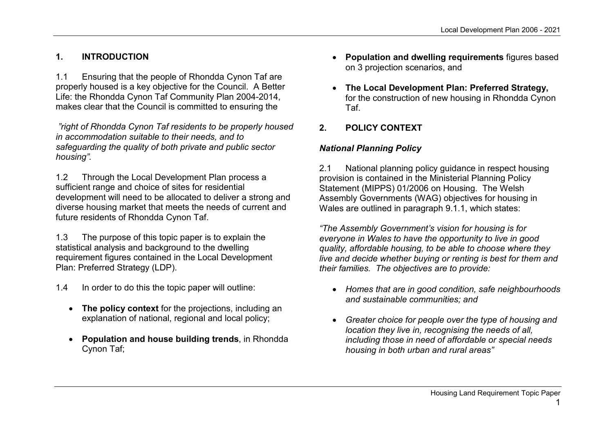# 1. INTRODUCTION

1.1 Ensuring that the people of Rhondda Cynon Taf are properly housed is a key objective for the Council. A Better Life: the Rhondda Cynon Taf Community Plan 2004-2014, makes clear that the Council is committed to ensuring the

"right of Rhondda Cynon Taf residents to be properly housed in accommodation suitable to their needs, and to safeguarding the quality of both private and public sector housing".

1.2 Through the Local Development Plan process a sufficient range and choice of sites for residential development will need to be allocated to deliver a strong and diverse housing market that meets the needs of current and future residents of Rhondda Cynon Taf.

1.3 The purpose of this topic paper is to explain the statistical analysis and background to the dwelling requirement figures contained in the Local Development Plan: Preferred Strategy (LDP).

1.4 In order to do this the topic paper will outline:

- The policy context for the projections, including an explanation of national, regional and local policy;
- Population and house building trends, in Rhondda Cynon Taf;
- Population and dwelling requirements figures based on 3 projection scenarios, and
- The Local Development Plan: Preferred Strategy, for the construction of new housing in Rhondda Cynon Taf.
- 2. POLICY CONTEXT

# National Planning Policy

2.1 National planning policy guidance in respect housing provision is contained in the Ministerial Planning Policy Statement (MIPPS) 01/2006 on Housing. The Welsh Assembly Governments (WAG) objectives for housing in Wales are outlined in paragraph 9.1.1, which states:

"The Assembly Government's vision for housing is for everyone in Wales to have the opportunity to live in good quality, affordable housing, to be able to choose where they live and decide whether buying or renting is best for them and their families. The objectives are to provide:

- Homes that are in good condition, safe neighbourhoods and sustainable communities; and
- Greater choice for people over the type of housing and location they live in, recognising the needs of all, including those in need of affordable or special needs housing in both urban and rural areas"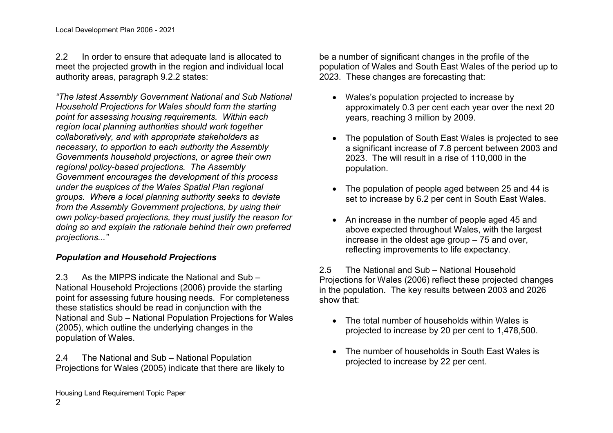2.2 In order to ensure that adequate land is allocated to meet the projected growth in the region and individual local authority areas, paragraph 9.2.2 states:

"The latest Assembly Government National and Sub National Household Projections for Wales should form the starting point for assessing housing requirements. Within each region local planning authorities should work together collaboratively, and with appropriate stakeholders as necessary, to apportion to each authority the Assembly Governments household projections, or agree their own regional policy-based projections. The Assembly Government encourages the development of this process under the auspices of the Wales Spatial Plan regional groups. Where a local planning authority seeks to deviate from the Assembly Government projections, by using their own policy-based projections, they must justify the reason for doing so and explain the rationale behind their own preferred projections..."

#### Population and Household Projections

2.3 As the MIPPS indicate the National and Sub – National Household Projections (2006) provide the starting point for assessing future housing needs. For completeness these statistics should be read in conjunction with the National and Sub – National Population Projections for Wales (2005), which outline the underlying changes in thepopulation of Wales.

2.4 The National and Sub – National Population Projections for Wales (2005) indicate that there are likely to be a number of significant changes in the profile of the population of Wales and South East Wales of the period up to 2023. These changes are forecasting that:

- Wales's population projected to increase by approximately 0.3 per cent each year over the next 20 years, reaching 3 million by 2009.
- The population of South East Wales is projected to see a significant increase of 7.8 percent between 2003 and 2023. The will result in a rise of 110,000 in the population.
- The population of people aged between 25 and 44 is set to increase by 6.2 per cent in South East Wales.
- An increase in the number of people aged 45 and above expected throughout Wales, with the largest increase in the oldest age group – 75 and over, reflecting improvements to life expectancy.

2.5 The National and Sub – National Household Projections for Wales (2006) reflect these projected changes in the population. The key results between 2003 and 2026 show that:

- The total number of households within Wales is projected to increase by 20 per cent to 1,478,500.
- The number of households in South East Wales is projected to increase by 22 per cent.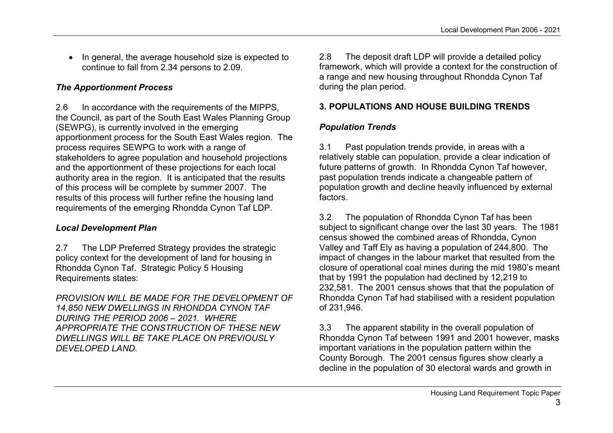• In general, the average household size is expected to continue to fall from 2.34 persons to 2.09.

### The Apportionment Process

2.6 In accordance with the requirements of the MIPPS, the Council, as part of the South East Wales Planning Group (SEWPG), is currently involved in the emerging apportionment process for the South East Wales region. The process requires SEWPG to work with a range of stakeholders to agree population and household projections and the apportionment of these projections for each local authority area in the region. It is anticipated that the results of this process will be complete by summer 2007. The results of this process will further refine the housing land requirements of the emerging Rhondda Cynon Taf LDP.

#### Local Development Plan

2.7 The LDP Preferred Strategy provides the strategic policy context for the development of land for housing in Rhondda Cynon Taf. Strategic Policy 5 Housing Requirements states:

PROVISION WILL BE MADE FOR THE DEVELOPMENT OF 14,850 NEW DWELLINGS IN RHONDDA CYNON TAF DURING THE PERIOD 2006 – 2021. WHERE APPROPRIATE THE CONSTRUCTION OF THESE NEW DWELLINGS WILL BE TAKE PLACE ON PREVIOUSLY DEVELOPED LAND.

2.8 The deposit draft LDP will provide a detailed policy framework, which will provide a context for the construction of a range and new housing throughout Rhondda Cynon Taf during the plan period.

# 3. POPULATIONS AND HOUSE BUILDING TRENDS

## Population Trends

3.1 Past population trends provide, in areas with a relatively stable can population, provide a clear indication of future patterns of growth. In Rhondda Cynon Taf however, past population trends indicate a changeable pattern of population growth and decline heavily influenced by external factors.

3.2 The population of Rhondda Cynon Taf has been subject to significant change over the last 30 years. The 1981 census showed the combined areas of Rhondda, Cynon Valley and Taff Ely as having a population of 244,800. The impact of changes in the labour market that resulted from the closure of operational coal mines during the mid 1980's meant that by 1991 the population had declined by 12,219 to 232,581. The 2001 census shows that that the population of Rhondda Cynon Taf had stabilised with a resident population of 231,946.

3.3 The apparent stability in the overall population of Rhondda Cynon Taf between 1991 and 2001 however, masks important variations in the population pattern within the County Borough. The 2001 census figures show clearly a decline in the population of 30 electoral wards and growth in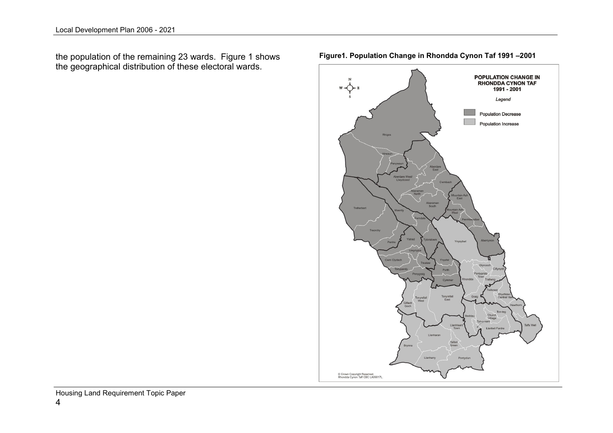the population of the remaining 23 wards. Figure 1 shows the geographical distribution of these electoral wards.



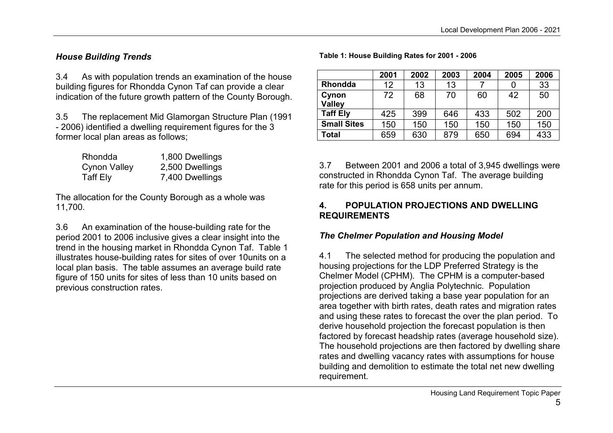#### House Building Trends

3.4 As with population trends an examination of the house building figures for Rhondda Cynon Taf can provide a clear indication of the future growth pattern of the County Borough.

3.5 The replacement Mid Glamorgan Structure Plan (1991 - 2006) identified a dwelling requirement figures for the 3 former local plan areas as follows;

| Rhondda      | 1,800 Dwellings |
|--------------|-----------------|
| Cynon Valley | 2,500 Dwellings |
| Taff Ely     | 7,400 Dwellings |

The allocation for the County Borough as a whole was 11,700.

3.6 An examination of the house-building rate for the period 2001 to 2006 inclusive gives a clear insight into the trend in the housing market in Rhondda Cynon Taf. Table 1 illustrates house-building rates for sites of over 10units on a local plan basis. The table assumes an average build rate figure of 150 units for sites of less than 10 units based on previous construction rates.

|                    | 2001 | 2002 | 2003 | 2004 | 2005 | 2006 |
|--------------------|------|------|------|------|------|------|
| Rhondda            | 12   | 13   | 13   |      | 0    | 33   |
| Cynon              | 72   | 68   | 70   | 60   | 42   | 50   |
| <b>Valley</b>      |      |      |      |      |      |      |
| <b>Taff Ely</b>    | 425  | 399  | 646  | 433  | 502  | 200  |
| <b>Small Sites</b> | 150  | 150  | 150  | 150  | 150  | 150  |
| Total              | 659  | 630  | 879  | 650  | 694  | 433  |

Table 1: House Building Rates for 2001 - 2006

3.7 Between 2001 and 2006 a total of 3,945 dwellings were constructed in Rhondda Cynon Taf. The average building rate for this period is 658 units per annum.

#### 4. POPULATION PROJECTIONS AND DWELLING REQUIREMENTS

# The Chelmer Population and Housing Model

4.1 The selected method for producing the population and housing projections for the LDP Preferred Strategy is the Chelmer Model (CPHM). The CPHM is a computer-basedprojection produced by Anglia Polytechnic. Population projections are derived taking a base year population for an area together with birth rates, death rates and migration rates and using these rates to forecast the over the plan period. To derive household projection the forecast population is then factored by forecast headship rates (average household size). The household projections are then factored by dwelling share rates and dwelling vacancy rates with assumptions for house building and demolition to estimate the total net new dwelling requirement.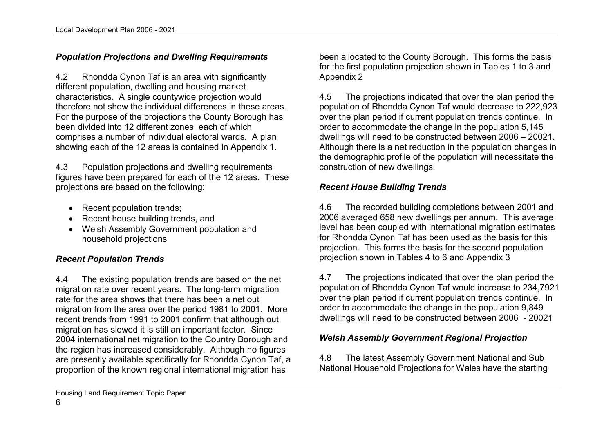#### **Population Projections and Dwelling Requirements**

4.2 Rhondda Cynon Taf is an area with significantlydifferent population, dwelling and housing market characteristics. A single countywide projection would therefore not show the individual differences in these areas. For the purpose of the projections the County Borough has been divided into 12 different zones, each of which comprises a number of individual electoral wards. A plan showing each of the 12 areas is contained in Appendix 1.

4.3 Population projections and dwelling requirements figures have been prepared for each of the 12 areas. These projections are based on the following:

- Recent population trends;
- Recent house building trends, and
- Welsh Assembly Government population and household projections

#### Recent Population Trends

4.4 The existing population trends are based on the net migration rate over recent years. The long-term migration rate for the area shows that there has been a net out migration from the area over the period 1981 to 2001. More recent trends from 1991 to 2001 confirm that although out migration has slowed it is still an important factor. Since 2004 international net migration to the Country Borough and the region has increased considerably. Although no figures are presently available specifically for Rhondda Cynon Taf, a proportion of the known regional international migration has

been allocated to the County Borough. This forms the basis for the first population projection shown in Tables 1 to 3 and Appendix 2

4.5 The projections indicated that over the plan period the population of Rhondda Cynon Taf would decrease to 222,923 over the plan period if current population trends continue. In order to accommodate the change in the population 5,145 dwellings will need to be constructed between 2006 – 20021. Although there is a net reduction in the population changes in the demographic profile of the population will necessitate the construction of new dwellings.

#### Recent House Building Trends

4.6 The recorded building completions between 2001 and 2006 averaged 658 new dwellings per annum. This average level has been coupled with international migration estimates for Rhondda Cynon Taf has been used as the basis for this projection. This forms the basis for the second population projection shown in Tables 4 to 6 and Appendix 3

4.7 The projections indicated that over the plan period the population of Rhondda Cynon Taf would increase to 234,7921 over the plan period if current population trends continue. In order to accommodate the change in the population 9,849 dwellings will need to be constructed between 2006 - 20021

#### Welsh Assembly Government Regional Projection

4.8 The latest Assembly Government National and SubNational Household Projections for Wales have the starting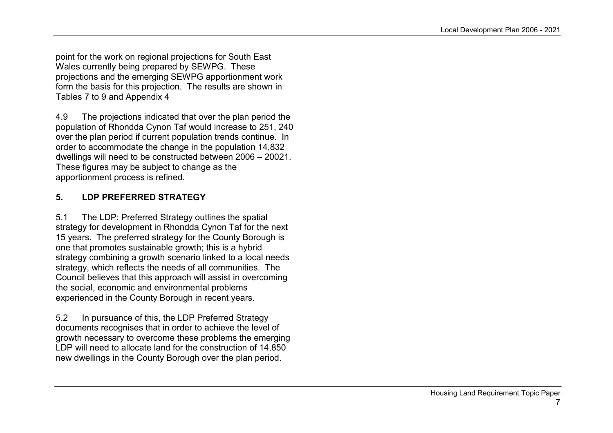point for the work on regional projections for South East Wales currently being prepared by SEWPG. These projections and the emerging SEWPG apportionment work form the basis for this projection. The results are shown in Tables 7 to 9 and Appendix 4

4.9 The projections indicated that over the plan period the population of Rhondda Cynon Taf would increase to 251, 240 over the plan period if current population trends continue. In order to accommodate the change in the population 14,832 dwellings will need to be constructed between 2006 – 20021. These figures may be subject to change as the apportionment process is refined.

# 5. LDP PREFERRED STRATEGY

5.1 The LDP: Preferred Strategy outlines the spatial strategy for development in Rhondda Cynon Taf for the next 15 years. The preferred strategy for the County Borough is one that promotes sustainable growth; this is a hybrid strategy combining a growth scenario linked to a local needs strategy, which reflects the needs of all communities. The Council believes that this approach will assist in overcoming the social, economic and environmental problems experienced in the County Borough in recent years.

5.2 In pursuance of this, the LDP Preferred Strategy documents recognises that in order to achieve the level of growth necessary to overcome these problems the emerging LDP will need to allocate land for the construction of 14,850 new dwellings in the County Borough over the plan period.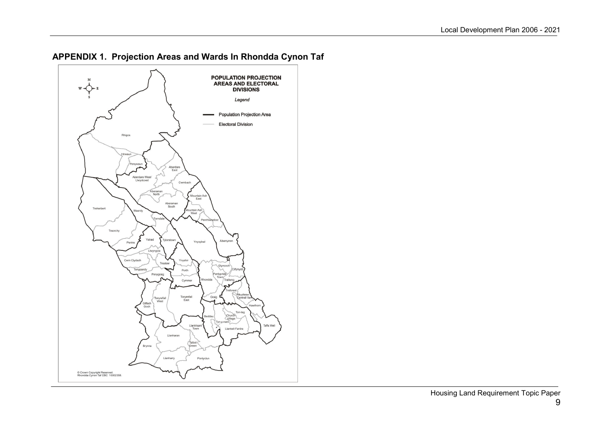

APPENDIX 1. Projection Areas and Wards In Rhondda Cynon Taf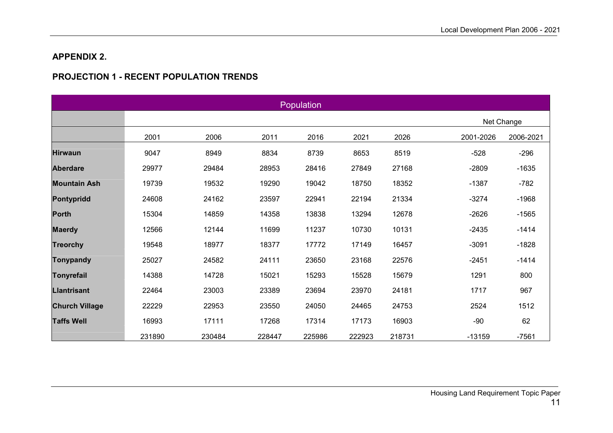### APPENDIX 2.

#### PROJECTION 1 - RECENT POPULATION TRENDS

|                       | Population |        |        |        |        |        |           |            |  |  |  |  |
|-----------------------|------------|--------|--------|--------|--------|--------|-----------|------------|--|--|--|--|
|                       |            |        |        |        |        |        |           | Net Change |  |  |  |  |
|                       | 2001       | 2006   | 2011   | 2016   | 2021   | 2026   | 2001-2026 | 2006-2021  |  |  |  |  |
| <b>Hirwaun</b>        | 9047       | 8949   | 8834   | 8739   | 8653   | 8519   | $-528$    | $-296$     |  |  |  |  |
| <b>Aberdare</b>       | 29977      | 29484  | 28953  | 28416  | 27849  | 27168  | $-2809$   | $-1635$    |  |  |  |  |
| <b>Mountain Ash</b>   | 19739      | 19532  | 19290  | 19042  | 18750  | 18352  | $-1387$   | $-782$     |  |  |  |  |
| Pontypridd            | 24608      | 24162  | 23597  | 22941  | 22194  | 21334  | $-3274$   | $-1968$    |  |  |  |  |
| <b>Porth</b>          | 15304      | 14859  | 14358  | 13838  | 13294  | 12678  | $-2626$   | $-1565$    |  |  |  |  |
| <b>Maerdy</b>         | 12566      | 12144  | 11699  | 11237  | 10730  | 10131  | $-2435$   | $-1414$    |  |  |  |  |
| <b>Treorchy</b>       | 19548      | 18977  | 18377  | 17772  | 17149  | 16457  | $-3091$   | $-1828$    |  |  |  |  |
| Tonypandy             | 25027      | 24582  | 24111  | 23650  | 23168  | 22576  | $-2451$   | $-1414$    |  |  |  |  |
| Tonyrefail            | 14388      | 14728  | 15021  | 15293  | 15528  | 15679  | 1291      | 800        |  |  |  |  |
| <b>Llantrisant</b>    | 22464      | 23003  | 23389  | 23694  | 23970  | 24181  | 1717      | 967        |  |  |  |  |
| <b>Church Village</b> | 22229      | 22953  | 23550  | 24050  | 24465  | 24753  | 2524      | 1512       |  |  |  |  |
| <b>Taffs Well</b>     | 16993      | 17111  | 17268  | 17314  | 17173  | 16903  | $-90$     | 62         |  |  |  |  |
|                       | 231890     | 230484 | 228447 | 225986 | 222923 | 218731 | $-13159$  | $-7561$    |  |  |  |  |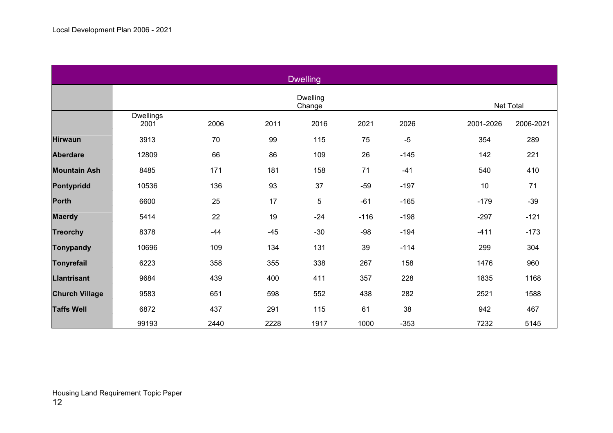|                       |                   |       |       | <b>Dwelling</b>    |        |        |           |           |
|-----------------------|-------------------|-------|-------|--------------------|--------|--------|-----------|-----------|
|                       |                   |       |       |                    |        |        |           |           |
|                       |                   |       |       | Dwelling<br>Change |        |        |           | Net Total |
|                       | Dwellings<br>2001 | 2006  | 2011  | 2016               | 2021   | 2026   | 2001-2026 | 2006-2021 |
| <b>Hirwaun</b>        | 3913              | 70    | 99    | 115                | 75     | $-5$   | 354       | 289       |
| <b>Aberdare</b>       | 12809             | 66    | 86    | 109                | 26     | $-145$ | 142       | 221       |
| <b>Mountain Ash</b>   | 8485              | 171   | 181   | 158                | 71     | $-41$  | 540       | 410       |
| Pontypridd            | 10536             | 136   | 93    | 37                 | $-59$  | $-197$ | 10        | 71        |
| <b>Porth</b>          | 6600              | 25    | 17    | 5                  | $-61$  | $-165$ | $-179$    | $-39$     |
| <b>Maerdy</b>         | 5414              | 22    | 19    | $-24$              | $-116$ | $-198$ | $-297$    | $-121$    |
| <b>Treorchy</b>       | 8378              | $-44$ | $-45$ | $-30$              | $-98$  | $-194$ | $-411$    | $-173$    |
| Tonypandy             | 10696             | 109   | 134   | 131                | 39     | $-114$ | 299       | 304       |
| <b>Tonyrefail</b>     | 6223              | 358   | 355   | 338                | 267    | 158    | 1476      | 960       |
| <b>Llantrisant</b>    | 9684              | 439   | 400   | 411                | 357    | 228    | 1835      | 1168      |
| <b>Church Village</b> | 9583              | 651   | 598   | 552                | 438    | 282    | 2521      | 1588      |
| <b>Taffs Well</b>     | 6872              | 437   | 291   | 115                | 61     | 38     | 942       | 467       |
|                       | 99193             | 2440  | 2228  | 1917               | 1000   | $-353$ | 7232      | 5145      |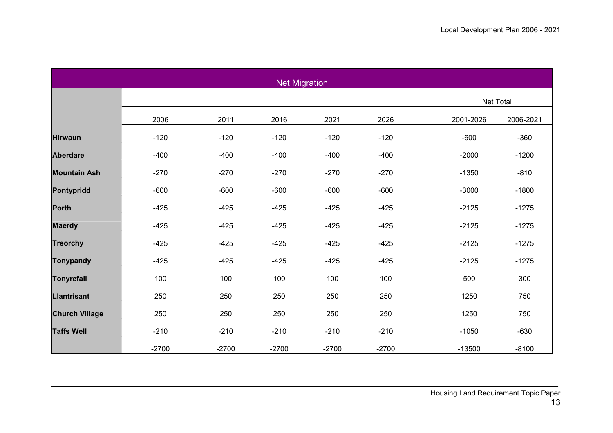|                       |         |         | <b>Net Migration</b> |         |         |           |           |  |  |
|-----------------------|---------|---------|----------------------|---------|---------|-----------|-----------|--|--|
|                       |         |         |                      |         |         |           | Net Total |  |  |
|                       | 2006    | 2011    | 2016                 | 2021    | 2026    | 2001-2026 | 2006-2021 |  |  |
| <b>Hirwaun</b>        | $-120$  | $-120$  | $-120$               | $-120$  | $-120$  | $-600$    | $-360$    |  |  |
| <b>Aberdare</b>       | $-400$  | $-400$  | $-400$               | $-400$  | $-400$  | $-2000$   | $-1200$   |  |  |
| <b>Mountain Ash</b>   | $-270$  | $-270$  | $-270$               | $-270$  | $-270$  | $-1350$   | $-810$    |  |  |
| Pontypridd            | $-600$  | $-600$  | $-600$               | $-600$  | $-600$  | $-3000$   | $-1800$   |  |  |
| <b>Porth</b>          | $-425$  | $-425$  | $-425$               | $-425$  | $-425$  | $-2125$   | $-1275$   |  |  |
| <b>Maerdy</b>         | $-425$  | $-425$  | $-425$               | $-425$  | $-425$  | $-2125$   | $-1275$   |  |  |
| <b>Treorchy</b>       | $-425$  | $-425$  | $-425$               | $-425$  | $-425$  | $-2125$   | $-1275$   |  |  |
| Tonypandy             | $-425$  | $-425$  | $-425$               | $-425$  | $-425$  | $-2125$   | $-1275$   |  |  |
| Tonyrefail            | 100     | 100     | 100                  | 100     | 100     | 500       | 300       |  |  |
| <b>Llantrisant</b>    | 250     | 250     | 250                  | 250     | 250     | 1250      | 750       |  |  |
| <b>Church Village</b> | 250     | 250     | 250                  | 250     | 250     | 1250      | 750       |  |  |
| <b>Taffs Well</b>     | $-210$  | $-210$  | $-210$               | $-210$  | $-210$  | $-1050$   | $-630$    |  |  |
|                       | $-2700$ | $-2700$ | $-2700$              | $-2700$ | $-2700$ | $-13500$  | $-8100$   |  |  |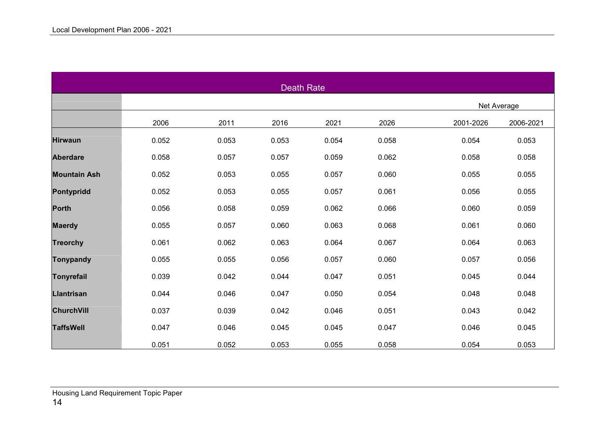|                     |       |       | <b>Death Rate</b> |       |       |             |           |
|---------------------|-------|-------|-------------------|-------|-------|-------------|-----------|
|                     |       |       |                   |       |       | Net Average |           |
|                     | 2006  | 2011  | 2016              | 2021  | 2026  | 2001-2026   | 2006-2021 |
| <b>Hirwaun</b>      | 0.052 | 0.053 | 0.053             | 0.054 | 0.058 | 0.054       | 0.053     |
| <b>Aberdare</b>     | 0.058 | 0.057 | 0.057             | 0.059 | 0.062 | 0.058       | 0.058     |
| <b>Mountain Ash</b> | 0.052 | 0.053 | 0.055             | 0.057 | 0.060 | 0.055       | 0.055     |
| Pontypridd          | 0.052 | 0.053 | 0.055             | 0.057 | 0.061 | 0.056       | 0.055     |
| <b>Porth</b>        | 0.056 | 0.058 | 0.059             | 0.062 | 0.066 | 0.060       | 0.059     |
| <b>Maerdy</b>       | 0.055 | 0.057 | 0.060             | 0.063 | 0.068 | 0.061       | 0.060     |
| <b>Treorchy</b>     | 0.061 | 0.062 | 0.063             | 0.064 | 0.067 | 0.064       | 0.063     |
| Tonypandy           | 0.055 | 0.055 | 0.056             | 0.057 | 0.060 | 0.057       | 0.056     |
| Tonyrefail          | 0.039 | 0.042 | 0.044             | 0.047 | 0.051 | 0.045       | 0.044     |
| Llantrisan          | 0.044 | 0.046 | 0.047             | 0.050 | 0.054 | 0.048       | 0.048     |
| <b>ChurchVill</b>   | 0.037 | 0.039 | 0.042             | 0.046 | 0.051 | 0.043       | 0.042     |
| <b>TaffsWell</b>    | 0.047 | 0.046 | 0.045             | 0.045 | 0.047 | 0.046       | 0.045     |
|                     | 0.051 | 0.052 | 0.053             | 0.055 | 0.058 | 0.054       | 0.053     |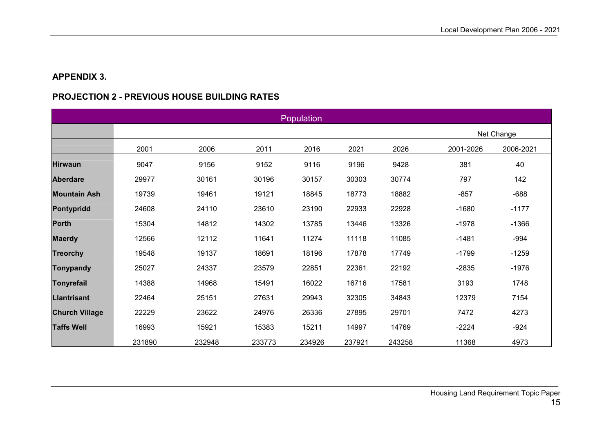#### APPENDIX 3.

#### PROJECTION 2 - PREVIOUS HOUSE BUILDING RATES

|                       |        |        |        | <b>Population</b> |        |        |           |            |
|-----------------------|--------|--------|--------|-------------------|--------|--------|-----------|------------|
|                       |        |        |        |                   |        |        |           | Net Change |
|                       | 2001   | 2006   | 2011   | 2016              | 2021   | 2026   | 2001-2026 | 2006-2021  |
| <b>Hirwaun</b>        | 9047   | 9156   | 9152   | 9116              | 9196   | 9428   | 381       | 40         |
| <b>Aberdare</b>       | 29977  | 30161  | 30196  | 30157             | 30303  | 30774  | 797       | 142        |
| <b>Mountain Ash</b>   | 19739  | 19461  | 19121  | 18845             | 18773  | 18882  | $-857$    | $-688$     |
| Pontypridd            | 24608  | 24110  | 23610  | 23190             | 22933  | 22928  | $-1680$   | $-1177$    |
| <b>Porth</b>          | 15304  | 14812  | 14302  | 13785             | 13446  | 13326  | $-1978$   | $-1366$    |
| <b>Maerdy</b>         | 12566  | 12112  | 11641  | 11274             | 11118  | 11085  | $-1481$   | $-994$     |
| <b>Treorchy</b>       | 19548  | 19137  | 18691  | 18196             | 17878  | 17749  | $-1799$   | $-1259$    |
| <b>Tonypandy</b>      | 25027  | 24337  | 23579  | 22851             | 22361  | 22192  | $-2835$   | $-1976$    |
| <b>Tonyrefail</b>     | 14388  | 14968  | 15491  | 16022             | 16716  | 17581  | 3193      | 1748       |
| <b>Llantrisant</b>    | 22464  | 25151  | 27631  | 29943             | 32305  | 34843  | 12379     | 7154       |
| <b>Church Village</b> | 22229  | 23622  | 24976  | 26336             | 27895  | 29701  | 7472      | 4273       |
| <b>Taffs Well</b>     | 16993  | 15921  | 15383  | 15211             | 14997  | 14769  | $-2224$   | $-924$     |
|                       | 231890 | 232948 | 233773 | 234926            | 237921 | 243258 | 11368     | 4973       |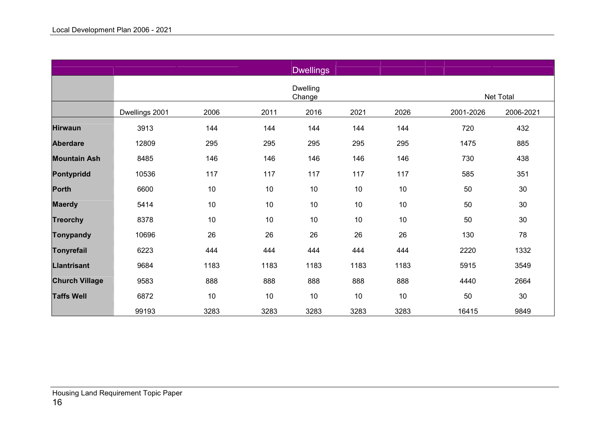|                       |                                        |      |      | <b>Dwellings</b> |      |      |           |           |  |  |  |
|-----------------------|----------------------------------------|------|------|------------------|------|------|-----------|-----------|--|--|--|
|                       | <b>Dwelling</b><br>Net Total<br>Change |      |      |                  |      |      |           |           |  |  |  |
|                       | Dwellings 2001                         | 2006 | 2011 | 2016             | 2021 | 2026 | 2001-2026 | 2006-2021 |  |  |  |
| <b>Hirwaun</b>        | 3913                                   | 144  | 144  | 144              | 144  | 144  | 720       | 432       |  |  |  |
| <b>Aberdare</b>       | 12809                                  | 295  | 295  | 295              | 295  | 295  | 1475      | 885       |  |  |  |
| <b>Mountain Ash</b>   | 8485                                   | 146  | 146  | 146              | 146  | 146  | 730       | 438       |  |  |  |
| Pontypridd            | 10536                                  | 117  | 117  | 117              | 117  | 117  | 585       | 351       |  |  |  |
| <b>Porth</b>          | 6600                                   | $10$ | 10   | $10$             | $10$ | 10   | 50        | 30        |  |  |  |
| <b>Maerdy</b>         | 5414                                   | 10   | 10   | 10               | 10   | 10   | 50        | 30        |  |  |  |
| <b>Treorchy</b>       | 8378                                   | 10   | 10   | 10               | 10   | 10   | 50        | 30        |  |  |  |
| <b>Tonypandy</b>      | 10696                                  | 26   | 26   | 26               | 26   | 26   | 130       | 78        |  |  |  |
| <b>Tonyrefail</b>     | 6223                                   | 444  | 444  | 444              | 444  | 444  | 2220      | 1332      |  |  |  |
| <b>Llantrisant</b>    | 9684                                   | 1183 | 1183 | 1183             | 1183 | 1183 | 5915      | 3549      |  |  |  |
| <b>Church Village</b> | 9583                                   | 888  | 888  | 888              | 888  | 888  | 4440      | 2664      |  |  |  |
| <b>Taffs Well</b>     | 6872                                   | $10$ | 10   | 10               | $10$ | 10   | 50        | 30        |  |  |  |
|                       | 99193                                  | 3283 | 3283 | 3283             | 3283 | 3283 | 16415     | 9849      |  |  |  |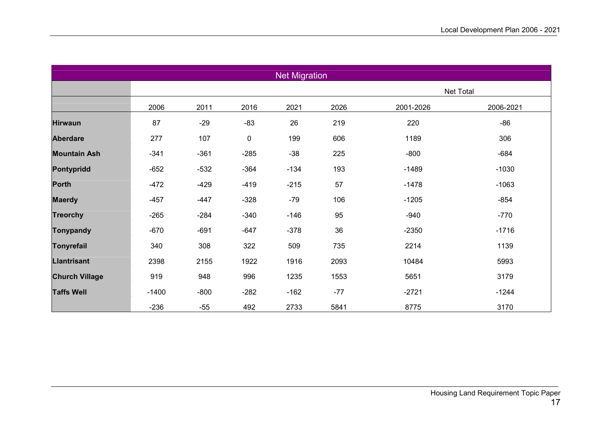|                       | <b>Net Migration</b> |        |           |        |       |           |           |  |  |  |  |  |
|-----------------------|----------------------|--------|-----------|--------|-------|-----------|-----------|--|--|--|--|--|
|                       |                      |        |           |        |       | Net Total |           |  |  |  |  |  |
|                       | 2006                 | 2011   | 2016      | 2021   | 2026  | 2001-2026 | 2006-2021 |  |  |  |  |  |
| <b>Hirwaun</b>        | 87                   | $-29$  | $-83$     | 26     | 219   | 220       | $-86$     |  |  |  |  |  |
| <b>Aberdare</b>       | 277                  | 107    | $\pmb{0}$ | 199    | 606   | 1189      | 306       |  |  |  |  |  |
| <b>Mountain Ash</b>   | $-341$               | $-361$ | $-285$    | $-38$  | 225   | $-800$    | $-684$    |  |  |  |  |  |
| Pontypridd            | $-652$               | $-532$ | $-364$    | $-134$ | 193   | $-1489$   | $-1030$   |  |  |  |  |  |
| <b>Porth</b>          | $-472$               | $-429$ | $-419$    | $-215$ | 57    | $-1478$   | $-1063$   |  |  |  |  |  |
| <b>Maerdy</b>         | $-457$               | $-447$ | $-328$    | $-79$  | 106   | $-1205$   | $-854$    |  |  |  |  |  |
| <b>Treorchy</b>       | $-265$               | $-284$ | $-340$    | $-146$ | 95    | $-940$    | $-770$    |  |  |  |  |  |
| <b>Tonypandy</b>      | $-670$               | $-691$ | $-647$    | $-378$ | 36    | $-2350$   | $-1716$   |  |  |  |  |  |
| <b>Tonyrefail</b>     | 340                  | 308    | 322       | 509    | 735   | 2214      | 1139      |  |  |  |  |  |
| <b>Llantrisant</b>    | 2398                 | 2155   | 1922      | 1916   | 2093  | 10484     | 5993      |  |  |  |  |  |
| <b>Church Village</b> | 919                  | 948    | 996       | 1235   | 1553  | 5651      | 3179      |  |  |  |  |  |
| <b>Taffs Well</b>     | $-1400$              | $-800$ | $-282$    | $-162$ | $-77$ | $-2721$   | $-1244$   |  |  |  |  |  |
|                       | $-236$               | $-55$  | 492       | 2733   | 5841  | 8775      | 3170      |  |  |  |  |  |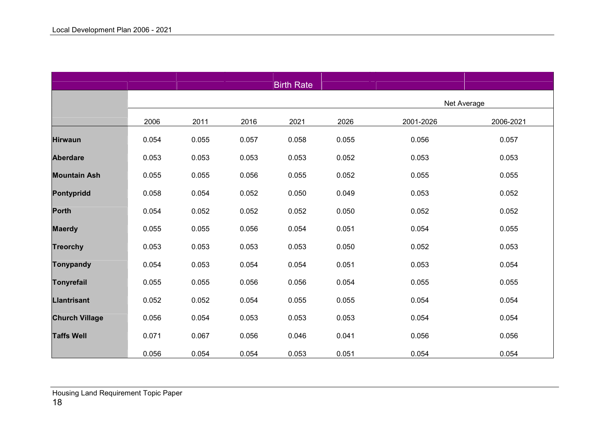|                       |       |       |       | <b>Birth Rate</b> |       |             |           |
|-----------------------|-------|-------|-------|-------------------|-------|-------------|-----------|
|                       |       |       |       |                   |       | Net Average |           |
|                       | 2006  | 2011  | 2016  | 2021              | 2026  | 2001-2026   | 2006-2021 |
| <b>Hirwaun</b>        | 0.054 | 0.055 | 0.057 | 0.058             | 0.055 | 0.056       | 0.057     |
| <b>Aberdare</b>       | 0.053 | 0.053 | 0.053 | 0.053             | 0.052 | 0.053       | 0.053     |
| <b>Mountain Ash</b>   | 0.055 | 0.055 | 0.056 | 0.055             | 0.052 | 0.055       | 0.055     |
| Pontypridd            | 0.058 | 0.054 | 0.052 | 0.050             | 0.049 | 0.053       | 0.052     |
| <b>Porth</b>          | 0.054 | 0.052 | 0.052 | 0.052             | 0.050 | 0.052       | 0.052     |
| <b>Maerdy</b>         | 0.055 | 0.055 | 0.056 | 0.054             | 0.051 | 0.054       | 0.055     |
| <b>Treorchy</b>       | 0.053 | 0.053 | 0.053 | 0.053             | 0.050 | 0.052       | 0.053     |
| Tonypandy             | 0.054 | 0.053 | 0.054 | 0.054             | 0.051 | 0.053       | 0.054     |
| Tonyrefail            | 0.055 | 0.055 | 0.056 | 0.056             | 0.054 | 0.055       | 0.055     |
| <b>Llantrisant</b>    | 0.052 | 0.052 | 0.054 | 0.055             | 0.055 | 0.054       | 0.054     |
| <b>Church Village</b> | 0.056 | 0.054 | 0.053 | 0.053             | 0.053 | 0.054       | 0.054     |
| <b>Taffs Well</b>     | 0.071 | 0.067 | 0.056 | 0.046             | 0.041 | 0.056       | 0.056     |
|                       | 0.056 | 0.054 | 0.054 | 0.053             | 0.051 | 0.054       | 0.054     |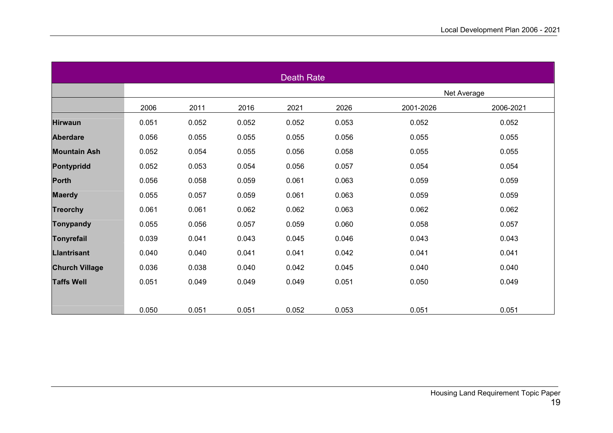|                       | Death Rate |       |       |       |       |           |             |  |  |  |  |
|-----------------------|------------|-------|-------|-------|-------|-----------|-------------|--|--|--|--|
|                       |            |       |       |       |       |           | Net Average |  |  |  |  |
|                       | 2006       | 2011  | 2016  | 2021  | 2026  | 2001-2026 | 2006-2021   |  |  |  |  |
| <b>Hirwaun</b>        | 0.051      | 0.052 | 0.052 | 0.052 | 0.053 | 0.052     | 0.052       |  |  |  |  |
| <b>Aberdare</b>       | 0.056      | 0.055 | 0.055 | 0.055 | 0.056 | 0.055     | 0.055       |  |  |  |  |
| <b>Mountain Ash</b>   | 0.052      | 0.054 | 0.055 | 0.056 | 0.058 | 0.055     | 0.055       |  |  |  |  |
| <b>Pontypridd</b>     | 0.052      | 0.053 | 0.054 | 0.056 | 0.057 | 0.054     | 0.054       |  |  |  |  |
| <b>Porth</b>          | 0.056      | 0.058 | 0.059 | 0.061 | 0.063 | 0.059     | 0.059       |  |  |  |  |
| <b>Maerdy</b>         | 0.055      | 0.057 | 0.059 | 0.061 | 0.063 | 0.059     | 0.059       |  |  |  |  |
| <b>Treorchy</b>       | 0.061      | 0.061 | 0.062 | 0.062 | 0.063 | 0.062     | 0.062       |  |  |  |  |
| <b>Tonypandy</b>      | 0.055      | 0.056 | 0.057 | 0.059 | 0.060 | 0.058     | 0.057       |  |  |  |  |
| <b>Tonyrefail</b>     | 0.039      | 0.041 | 0.043 | 0.045 | 0.046 | 0.043     | 0.043       |  |  |  |  |
| <b>Llantrisant</b>    | 0.040      | 0.040 | 0.041 | 0.041 | 0.042 | 0.041     | 0.041       |  |  |  |  |
| <b>Church Village</b> | 0.036      | 0.038 | 0.040 | 0.042 | 0.045 | 0.040     | 0.040       |  |  |  |  |
| <b>Taffs Well</b>     | 0.051      | 0.049 | 0.049 | 0.049 | 0.051 | 0.050     | 0.049       |  |  |  |  |
|                       |            |       |       |       |       |           |             |  |  |  |  |
|                       | 0.050      | 0.051 | 0.051 | 0.052 | 0.053 | 0.051     | 0.051       |  |  |  |  |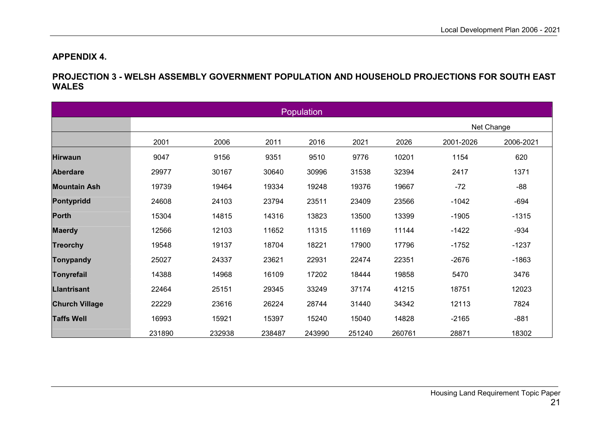### APPENDIX 4.

#### PROJECTION 3 - WELSH ASSEMBLY GOVERNMENT POPULATION AND HOUSEHOLD PROJECTIONS FOR SOUTH EAST WALES

| Population            |        |        |        |            |        |        |           |           |
|-----------------------|--------|--------|--------|------------|--------|--------|-----------|-----------|
|                       |        |        |        | Net Change |        |        |           |           |
|                       | 2001   | 2006   | 2011   | 2016       | 2021   | 2026   | 2001-2026 | 2006-2021 |
| <b>Hirwaun</b>        | 9047   | 9156   | 9351   | 9510       | 9776   | 10201  | 1154      | 620       |
| <b>Aberdare</b>       | 29977  | 30167  | 30640  | 30996      | 31538  | 32394  | 2417      | 1371      |
| <b>Mountain Ash</b>   | 19739  | 19464  | 19334  | 19248      | 19376  | 19667  | $-72$     | $-88$     |
| Pontypridd            | 24608  | 24103  | 23794  | 23511      | 23409  | 23566  | $-1042$   | $-694$    |
| <b>Porth</b>          | 15304  | 14815  | 14316  | 13823      | 13500  | 13399  | $-1905$   | $-1315$   |
| <b>Maerdy</b>         | 12566  | 12103  | 11652  | 11315      | 11169  | 11144  | $-1422$   | $-934$    |
| <b>Treorchy</b>       | 19548  | 19137  | 18704  | 18221      | 17900  | 17796  | $-1752$   | $-1237$   |
| Tonypandy             | 25027  | 24337  | 23621  | 22931      | 22474  | 22351  | $-2676$   | $-1863$   |
| Tonyrefail            | 14388  | 14968  | 16109  | 17202      | 18444  | 19858  | 5470      | 3476      |
| <b>Llantrisant</b>    | 22464  | 25151  | 29345  | 33249      | 37174  | 41215  | 18751     | 12023     |
| <b>Church Village</b> | 22229  | 23616  | 26224  | 28744      | 31440  | 34342  | 12113     | 7824      |
| <b>Taffs Well</b>     | 16993  | 15921  | 15397  | 15240      | 15040  | 14828  | $-2165$   | $-881$    |
|                       | 231890 | 232938 | 238487 | 243990     | 251240 | 260761 | 28871     | 18302     |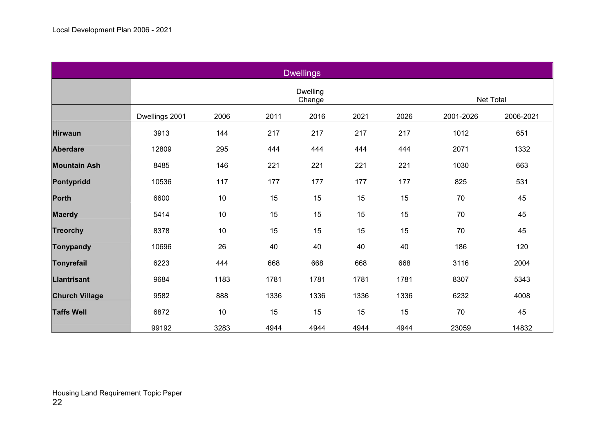| <b>Dwellings</b>      |                |      |           |      |      |      |           |           |
|-----------------------|----------------|------|-----------|------|------|------|-----------|-----------|
|                       |                |      | Net Total |      |      |      |           |           |
|                       | Dwellings 2001 | 2006 | 2011      | 2016 | 2021 | 2026 | 2001-2026 | 2006-2021 |
| <b>Hirwaun</b>        | 3913           | 144  | 217       | 217  | 217  | 217  | 1012      | 651       |
| <b>Aberdare</b>       | 12809          | 295  | 444       | 444  | 444  | 444  | 2071      | 1332      |
| <b>Mountain Ash</b>   | 8485           | 146  | 221       | 221  | 221  | 221  | 1030      | 663       |
| <b>Pontypridd</b>     | 10536          | 117  | 177       | 177  | 177  | 177  | 825       | 531       |
| Porth                 | 6600           | $10$ | 15        | 15   | 15   | 15   | 70        | 45        |
| <b>Maerdy</b>         | 5414           | 10   | 15        | 15   | 15   | 15   | 70        | 45        |
| <b>Treorchy</b>       | 8378           | 10   | 15        | 15   | 15   | 15   | 70        | 45        |
| <b>Tonypandy</b>      | 10696          | 26   | 40        | 40   | 40   | 40   | 186       | 120       |
| Tonyrefail            | 6223           | 444  | 668       | 668  | 668  | 668  | 3116      | 2004      |
| <b>Llantrisant</b>    | 9684           | 1183 | 1781      | 1781 | 1781 | 1781 | 8307      | 5343      |
| <b>Church Village</b> | 9582           | 888  | 1336      | 1336 | 1336 | 1336 | 6232      | 4008      |
| <b>Taffs Well</b>     | 6872           | $10$ | 15        | 15   | 15   | 15   | 70        | 45        |
|                       | 99192          | 3283 | 4944      | 4944 | 4944 | 4944 | 23059     | 14832     |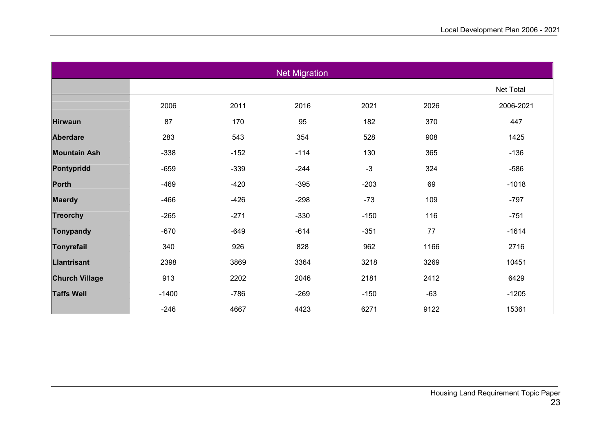| <b>Net Migration</b>  |         |        |        |        |       |           |  |
|-----------------------|---------|--------|--------|--------|-------|-----------|--|
|                       |         |        |        |        |       | Net Total |  |
|                       | 2006    | 2011   | 2016   | 2021   | 2026  | 2006-2021 |  |
| <b>Hirwaun</b>        | 87      | 170    | 95     | 182    | 370   | 447       |  |
| <b>Aberdare</b>       | 283     | 543    | 354    | 528    | 908   | 1425      |  |
| <b>Mountain Ash</b>   | $-338$  | $-152$ | $-114$ | 130    | 365   | $-136$    |  |
| Pontypridd            | $-659$  | $-339$ | $-244$ | $-3$   | 324   | $-586$    |  |
| <b>Porth</b>          | $-469$  | $-420$ | $-395$ | $-203$ | 69    | $-1018$   |  |
| <b>Maerdy</b>         | $-466$  | $-426$ | $-298$ | $-73$  | 109   | $-797$    |  |
| <b>Treorchy</b>       | $-265$  | $-271$ | $-330$ | $-150$ | 116   | $-751$    |  |
| <b>Tonypandy</b>      | $-670$  | $-649$ | $-614$ | $-351$ | 77    | $-1614$   |  |
| Tonyrefail            | 340     | 926    | 828    | 962    | 1166  | 2716      |  |
| <b>Llantrisant</b>    | 2398    | 3869   | 3364   | 3218   | 3269  | 10451     |  |
| <b>Church Village</b> | 913     | 2202   | 2046   | 2181   | 2412  | 6429      |  |
| <b>Taffs Well</b>     | $-1400$ | $-786$ | $-269$ | $-150$ | $-63$ | $-1205$   |  |
|                       | $-246$  | 4667   | 4423   | 6271   | 9122  | 15361     |  |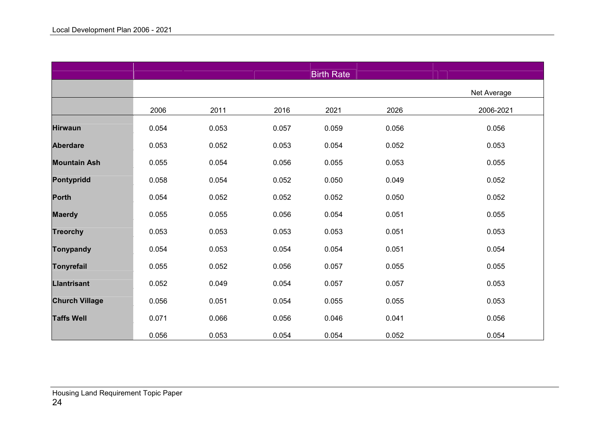|                       |       |       |       | <b>Birth Rate</b> |       |             |
|-----------------------|-------|-------|-------|-------------------|-------|-------------|
|                       |       |       |       |                   |       | Net Average |
|                       | 2006  | 2011  | 2016  | 2021              | 2026  | 2006-2021   |
| <b>Hirwaun</b>        | 0.054 | 0.053 | 0.057 | 0.059             | 0.056 | 0.056       |
| <b>Aberdare</b>       | 0.053 | 0.052 | 0.053 | 0.054             | 0.052 | 0.053       |
| <b>Mountain Ash</b>   | 0.055 | 0.054 | 0.056 | 0.055             | 0.053 | 0.055       |
| Pontypridd            | 0.058 | 0.054 | 0.052 | 0.050             | 0.049 | 0.052       |
| <b>Porth</b>          | 0.054 | 0.052 | 0.052 | 0.052             | 0.050 | 0.052       |
| <b>Maerdy</b>         | 0.055 | 0.055 | 0.056 | 0.054             | 0.051 | 0.055       |
| <b>Treorchy</b>       | 0.053 | 0.053 | 0.053 | 0.053             | 0.051 | 0.053       |
| Tonypandy             | 0.054 | 0.053 | 0.054 | 0.054             | 0.051 | 0.054       |
| Tonyrefail            | 0.055 | 0.052 | 0.056 | 0.057             | 0.055 | 0.055       |
| <b>Llantrisant</b>    | 0.052 | 0.049 | 0.054 | 0.057             | 0.057 | 0.053       |
| <b>Church Village</b> | 0.056 | 0.051 | 0.054 | 0.055             | 0.055 | 0.053       |
| <b>Taffs Well</b>     | 0.071 | 0.066 | 0.056 | 0.046             | 0.041 | 0.056       |
|                       | 0.056 | 0.053 | 0.054 | 0.054             | 0.052 | 0.054       |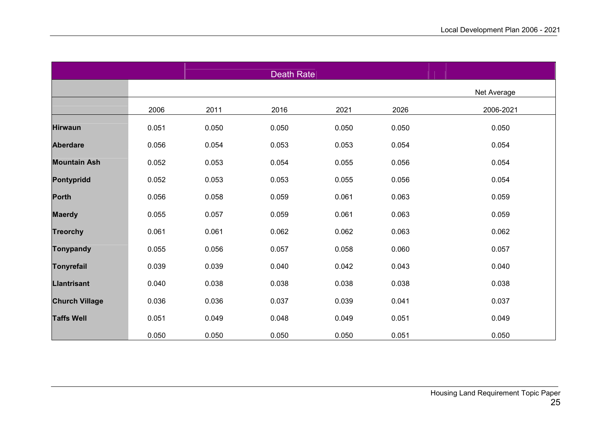|                       |       |       | <b>Death Rate</b> |       |       |             |
|-----------------------|-------|-------|-------------------|-------|-------|-------------|
|                       |       |       |                   |       |       | Net Average |
|                       | 2006  | 2011  | 2016              | 2021  | 2026  | 2006-2021   |
| <b>Hirwaun</b>        | 0.051 | 0.050 | 0.050             | 0.050 | 0.050 | 0.050       |
| <b>Aberdare</b>       | 0.056 | 0.054 | 0.053             | 0.053 | 0.054 | 0.054       |
| <b>Mountain Ash</b>   | 0.052 | 0.053 | 0.054             | 0.055 | 0.056 | 0.054       |
| Pontypridd            | 0.052 | 0.053 | 0.053             | 0.055 | 0.056 | 0.054       |
| <b>Porth</b>          | 0.056 | 0.058 | 0.059             | 0.061 | 0.063 | 0.059       |
| <b>Maerdy</b>         | 0.055 | 0.057 | 0.059             | 0.061 | 0.063 | 0.059       |
| <b>Treorchy</b>       | 0.061 | 0.061 | 0.062             | 0.062 | 0.063 | 0.062       |
| Tonypandy             | 0.055 | 0.056 | 0.057             | 0.058 | 0.060 | 0.057       |
| <b>Tonyrefail</b>     | 0.039 | 0.039 | 0.040             | 0.042 | 0.043 | 0.040       |
| <b>Llantrisant</b>    | 0.040 | 0.038 | 0.038             | 0.038 | 0.038 | 0.038       |
| <b>Church Village</b> | 0.036 | 0.036 | 0.037             | 0.039 | 0.041 | 0.037       |
| <b>Taffs Well</b>     | 0.051 | 0.049 | 0.048             | 0.049 | 0.051 | 0.049       |
|                       | 0.050 | 0.050 | 0.050             | 0.050 | 0.051 | 0.050       |